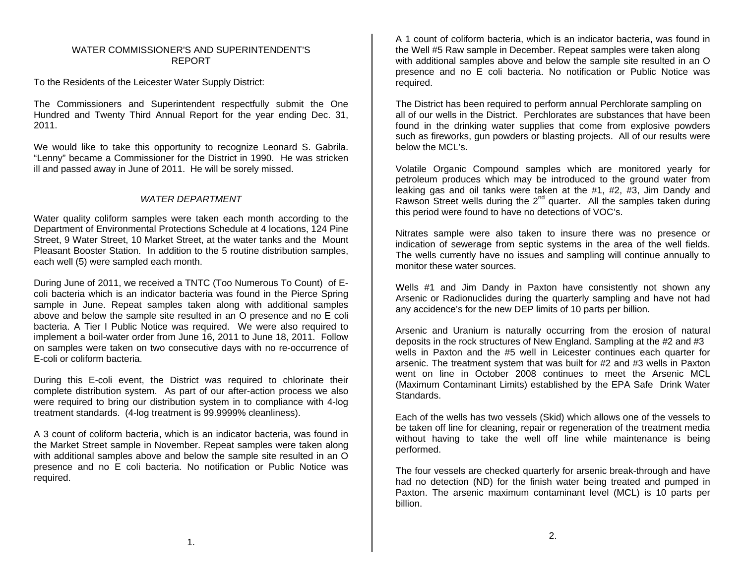### WATER COMMISSIONER'S AND SUPERINTENDENT'SREPORT

To the Residents of the Leicester Water Supply District:

The Commissioners and Superintendent respectfully submit the One Hundred and Twenty Third Annual Report for the year ending Dec. 31, 2011.

We would like to take this opportunity to recognize Leonard S. Gabrila. "Lenny" became a Commissioner for the District in 1990. He was stricken ill and passed away in June of 2011. He will be sorely missed.

# *WATER DEPARTMENT*

Water quality coliform samples were taken each month according to the Department of Environmental Protections Schedule at 4 locations, 124 Pine Street, 9 Water Street, 10 Market Street, at the water tanks and the Mount Pleasant Booster Station. In addition to the 5 routine distribution samples, each well (5) were sampled each month.

During June of 2011, we received a TNTC (Too Numerous To Count) of Ecoli bacteria which is an indicator bacteria was found in the Pierce Spring sample in June. Repeat samples taken along with additional samples above and below the sample site resulted in an O presence and no E coli bacteria. A Tier I Public Notice was required. We were also required to implement a boil-water order from June 16, 2011 to June 18, 2011. Follow on samples were taken on two consecutive days with no re-occurrence of E-coli or coliform bacteria.

During this E-coli event, the District was required to chlorinate their complete distribution system. As part of our after-action process we also were required to bring our distribution system in to compliance with 4-log treatment standards. (4-log treatment is 99.9999% cleanliness).

A 3 count of coliform bacteria, which is an indicator bacteria, was found in the Market Street sample in November. Repeat samples were taken along with additional samples above and below the sample site resulted in an O presence and no E coli bacteria. No notification or Public Notice was required.

A 1 count of coliform bacteria, which is an indicator bacteria, was found in the Well #5 Raw sample in December. Repeat samples were taken along with additional samples above and below the sample site resulted in an O presence and no E coli bacteria. No notification or Public Notice was required.

The District has been required to perform annual Perchlorate sampling on all of our wells in the District. Perchlorates are substances that have been found in the drinking water supplies that come from explosive powders such as fireworks, gun powders or blasting projects. All of our results were below the MCL's.

Volatile Organic Compound samples which are monitored yearly for petroleum produces which may be introduced to the ground water from leaking gas and oil tanks were taken at the #1, #2, #3, Jim Dandy and Rawson Street wells during the  $2^{nd}$  quarter. All the samples taken during this period were found to have no detections of VOC's.

Nitrates sample were also taken to insure there was no presence or indication of sewerage from septic systems in the area of the well fields. The wells currently have no issues and sampling will continue annually to monitor these water sources.

Wells #1 and Jim Dandy in Paxton have consistently not shown any Arsenic or Radionuclides during the quarterly sampling and have not had any accidence's for the new DEP limits of 10 parts per billion.

Arsenic and Uranium is naturally occurring from the erosion of natural deposits in the rock structures of New England. Sampling at the #2 and #3 wells in Paxton and the #5 well in Leicester continues each quarter for arsenic. The treatment system that was built for #2 and #3 wells in Paxton went on line in October 2008 continues to meet the Arsenic MCL (Maximum Contaminant Limits) established by the EPA Safe Drink Water **Standards** 

Each of the wells has two vessels (Skid) which allows one of the vessels to be taken off line for cleaning, repair or regeneration of the treatment media without having to take the well off line while maintenance is being performed.

The four vessels are checked quarterly for arsenic break-through and have had no detection (ND) for the finish water being treated and pumped in Paxton. The arsenic maximum contaminant level (MCL) is 10 parts per billion.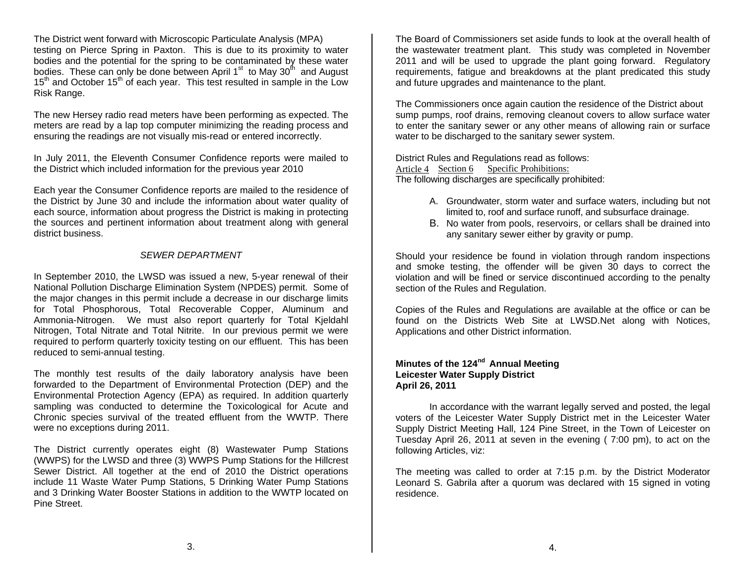The District went forward with Microscopic Particulate Analysis (MPA) testing on Pierce Spring in Paxton. This is due to its proximity to water bodies and the potential for the spring to be contaminated by these water bodies. These can only be done between April  $1<sup>st</sup>$  to May  $30<sup>th</sup>$  and August  $15<sup>th</sup>$  and October  $15<sup>th</sup>$  of each year. This test resulted in sample in the Low Risk Range.

The new Hersey radio read meters have been performing as expected. The meters are read by a lap top computer minimizing the reading process and ensuring the readings are not visually mis-read or entered incorrectly.

In July 2011, the Eleventh Consumer Confidence reports were mailed to the District which included information for the previous year 2010

Each year the Consumer Confidence reports are mailed to the residence of the District by June 30 and include the information about water quality of each source, information about progress the District is making in protecting the sources and pertinent information about treatment along with general district business.

### *SEWER DEPARTMENT*

In September 2010, the LWSD was issued a new, 5-year renewal of their National Pollution Discharge Elimination System (NPDES) permit. Some of the major changes in this permit include a decrease in our discharge limits for Total Phosphorous, Total Recoverable Copper, Aluminum and Ammonia-Nitrogen. We must also report quarterly for Total Kjeldahl Nitrogen, Total Nitrate and Total Nitrite. In our previous permit we were required to perform quarterly toxicity testing on our effluent. This has been reduced to semi-annual testing.

The monthly test results of the daily laboratory analysis have been forwarded to the Department of Environmental Protection (DEP) and the Environmental Protection Agency (EPA) as required. In addition quarterly sampling was conducted to determine the Toxicological for Acute and Chronic species survival of the treated effluent from the WWTP. There were no exceptions during 2011.

The District currently operates eight (8) Wastewater Pump Stations (WWPS) for the LWSD and three (3) WWPS Pump Stations for the Hillcrest Sewer District. All together at the end of 2010 the District operations include 11 Waste Water Pump Stations, 5 Drinking Water Pump Stations and 3 Drinking Water Booster Stations in addition to the WWTP located on Pine Street.

The Board of Commissioners set aside funds to look at the overall health of the wastewater treatment plant. This study was completed in November 2011 and will be used to upgrade the plant going forward. Regulatory requirements, fatigue and breakdowns at the plant predicated this study and future upgrades and maintenance to the plant.

The Commissioners once again caution the residence of the District about sump pumps, roof drains, removing cleanout covers to allow surface water to enter the sanitary sewer or any other means of allowing rain or surface water to be discharged to the sanitary sewer system.

District Rules and Regulations read as follows: Article 4 Section 6 Specific Prohibitions: The following discharges are specifically prohibited:

- A. Groundwater, storm water and surface waters, including but not limited to, roof and surface runoff, and subsurface drainage.
- B. No water from pools, reservoirs, or cellars shall be drained into any sanitary sewer either by gravity or pump.

Should your residence be found in violation through random inspections and smoke testing, the offender will be given 30 days to correct the violation and will be fined or service discontinued according to the penalty section of the Rules and Regulation.

Copies of the Rules and Regulations are available at the office or can be found on the Districts Web Site at LWSD.Net along with Notices, Applications and other District information.

## **Minutes of the 124nd Annual Meeting Leicester Water Supply District April 26, 2011**

 In accordance with the warrant legally served and posted, the legal voters of the Leicester Water Supply District met in the Leicester Water Supply District Meeting Hall, 124 Pine Street, in the Town of Leicester on Tuesday April 26, 2011 at seven in the evening ( 7:00 pm), to act on the following Articles, viz:

The meeting was called to order at 7:15 p.m. by the District Moderator Leonard S. Gabrila after a quorum was declared with 15 signed in voting residence.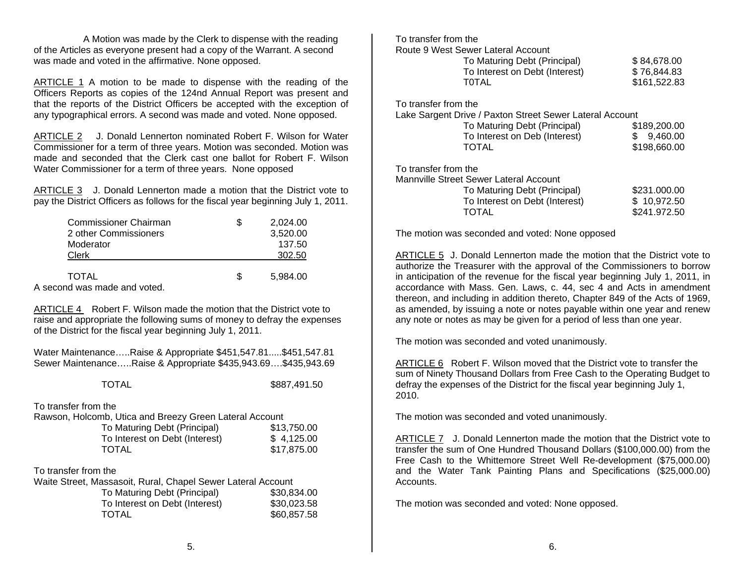A Motion was made by the Clerk to dispense with the reading of the Articles as everyone present had a copy of the Warrant. A second was made and voted in the affirmative. None opposed.

ARTICLE 1 A motion to be made to dispense with the reading of the Officers Reports as copies of the 124nd Annual Report was present and that the reports of the District Officers be accepted with the exception of any typographical errors. A second was made and voted. None opposed.

ARTICLE 2 J. Donald Lennerton nominated Robert F. Wilson for Water Commissioner for a term of three years. Motion was seconded. Motion was made and seconded that the Clerk cast one ballot for Robert F. Wilson Water Commissioner for a term of three years. None opposed

ARTICLE 3 J. Donald Lennerton made a motion that the District vote to pay the District Officers as follows for the fiscal year beginning July 1, 2011.

| <b>Commissioner Chairman</b> |    | 2,024.00 |
|------------------------------|----|----------|
| 2 other Commissioners        |    | 3,520.00 |
| Moderator                    |    | 137.50   |
| Clerk                        |    | 302.50   |
| TOTAL                        | £. | 5.984.00 |
| A second was made and voted. |    |          |

ARTICLE 4 Robert F. Wilson made the motion that the District vote to raise and appropriate the following sums of money to defray the expenses of the District for the fiscal year beginning July 1, 2011.

Water Maintenance…..Raise & Appropriate \$451,547.81.....\$451,547.81 Sewer Maintenance…..Raise & Appropriate \$435,943.69….\$435,943.69

TOTAL \$887,491.50

To transfer from the

| Rawson, Holcomb, Utica and Breezy Green Lateral Account |             |
|---------------------------------------------------------|-------------|
| To Maturing Debt (Principal)                            | \$13,750.00 |
| To Interest on Debt (Interest)                          | \$4.125.00  |
| <b>TOTAL</b>                                            | \$17.875.00 |

To transfer from the

| Waite Street, Massasoit, Rural, Chapel Sewer Lateral Account |             |  |  |
|--------------------------------------------------------------|-------------|--|--|
| To Maturing Debt (Principal)                                 | \$30,834.00 |  |  |
| To Interest on Debt (Interest)                               | \$30,023.58 |  |  |
| <b>TOTAL</b>                                                 | \$60,857.58 |  |  |

|                                                          | Route 9 West Sewer Lateral Account     |              |
|----------------------------------------------------------|----------------------------------------|--------------|
|                                                          | To Maturing Debt (Principal)           | \$84,678.00  |
|                                                          | To Interest on Debt (Interest)         | \$76.844.83  |
|                                                          | <b>TOTAL</b>                           | \$161,522.83 |
|                                                          | To transfer from the                   |              |
| Lake Sargent Drive / Paxton Street Sewer Lateral Account |                                        |              |
|                                                          | To Maturing Debt (Principal)           | \$189,200.00 |
|                                                          | To Interest on Deb (Interest)          | 9,460.00     |
|                                                          | TOTAL                                  | \$198,660,00 |
|                                                          | To transfer from the                   |              |
|                                                          | Mannville Street Sewer Lateral Account |              |
|                                                          | To Maturing Debt (Principal)           | \$231,000,00 |
|                                                          | To Interest on Debt (Interest)         | \$10,972.50  |
|                                                          | TOTAL                                  | \$241.972.50 |

The motion was seconded and voted: None opposed

To transfer from the

ARTICLE 5 J. Donald Lennerton made the motion that the District vote to authorize the Treasurer with the approval of the Commissioners to borrow in anticipation of the revenue for the fiscal year beginning July 1, 2011, in accordance with Mass. Gen. Laws, c. 44, sec 4 and Acts in amendment thereon, and including in addition thereto, Chapter 849 of the Acts of 1969, as amended, by issuing a note or notes payable within one year and renew any note or notes as may be given for a period of less than one year.

The motion was seconded and voted unanimously.

ARTICLE 6 Robert F. Wilson moved that the District vote to transfer the sum of Ninety Thousand Dollars from Free Cash to the Operating Budget to defray the expenses of the District for the fiscal year beginning July 1, 2010.

The motion was seconded and voted unanimously.

ARTICLE 7 J. Donald Lennerton made the motion that the District vote to transfer the sum of One Hundred Thousand Dollars (\$100,000.00) from the Free Cash to the Whittemore Street Well Re-development (\$75,000.00) and the Water Tank Painting Plans and Specifications (\$25,000.00) Accounts.

The motion was seconded and voted: None opposed.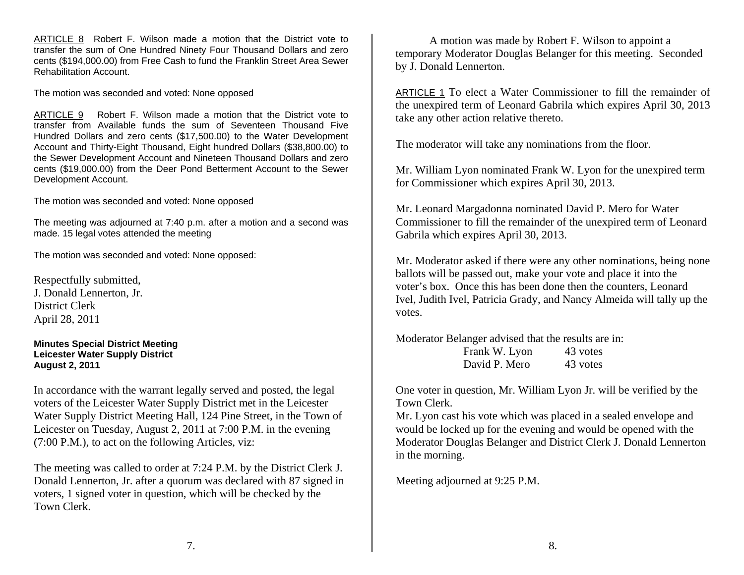ARTICLE 8 Robert F. Wilson made a motion that the District vote to transfer the sum of One Hundred Ninety Four Thousand Dollars and zero cents (\$194,000.00) from Free Cash to fund the Franklin Street Area Sewer Rehabilitation Account.

The motion was seconded and voted: None opposed

ARTICLE 9 Robert F. Wilson made a motion that the District vote to transfer from Available funds the sum of Seventeen Thousand Five Hundred Dollars and zero cents (\$17,500.00) to the Water Development Account and Thirty-Eight Thousand, Eight hundred Dollars (\$38,800.00) to the Sewer Development Account and Nineteen Thousand Dollars and zero cents (\$19,000.00) from the Deer Pond Betterment Account to the Sewer Development Account.

The motion was seconded and voted: None opposed

The meeting was adjourned at 7:40 p.m. after a motion and a second was made. 15 legal votes attended the meeting

The motion was seconded and voted: None opposed:

Respectfully submitted, J. Donald Lennerton, Jr. District Clerk April 28, 2011

**Minutes Special District Meeting Leicester Water Supply District August 2, 2011** 

In accordance with the warrant legally served and posted, the legal voters of the Leicester Water Supply District met in the Leicester Water Supply District Meeting Hall, 124 Pine Street, in the Town of Leicester on Tuesday, August 2, 2011 at 7:00 P.M. in the evening (7:00 P.M.), to act on the following Articles, viz:

The meeting was called to order at 7:24 P.M. by the District Clerk J. Donald Lennerton, Jr. after a quorum was declared with 87 signed in voters, 1 signed voter in question, which will be checked by the Town Clerk.

 A motion was made by Robert F. Wilson to appoint a temporary Moderator Douglas Belanger for this meeting. Seconded by J. Donald Lennerton.

ARTICLE 1 To elect a Water Commissioner to fill the remainder of the unexpired term of Leonard Gabrila which expires April 30, 2013 take any other action relative thereto.

The moderator will take any nominations from the floor.

Mr. William Lyon nominated Frank W. Lyon for the unexpired term for Commissioner which expires April 30, 2013.

Mr. Leonard Margadonna nominated David P. Mero for Water Commissioner to fill the remainder of the unexpired term of Leonard Gabrila which expires April 30, 2013.

Mr. Moderator asked if there were any other nominations, being none ballots will be passed out, make your vote and place it into the voter's box. Once this has been done then the counters, Leonard Ivel, Judith Ivel, Patricia Grady, and Nancy Almeida will tally up the votes.

Moderator Belanger advised that the results are in:

| Frank W. Lyon | 43 votes |
|---------------|----------|
| David P. Mero | 43 votes |

One voter in question, Mr. William Lyon Jr. will be verified by the Town Clerk.

Mr. Lyon cast his vote which was placed in a sealed envelope and would be locked up for the evening and would be opened with the Moderator Douglas Belanger and District Clerk J. Donald Lennerton in the morning.

Meeting adjourned at 9:25 P.M.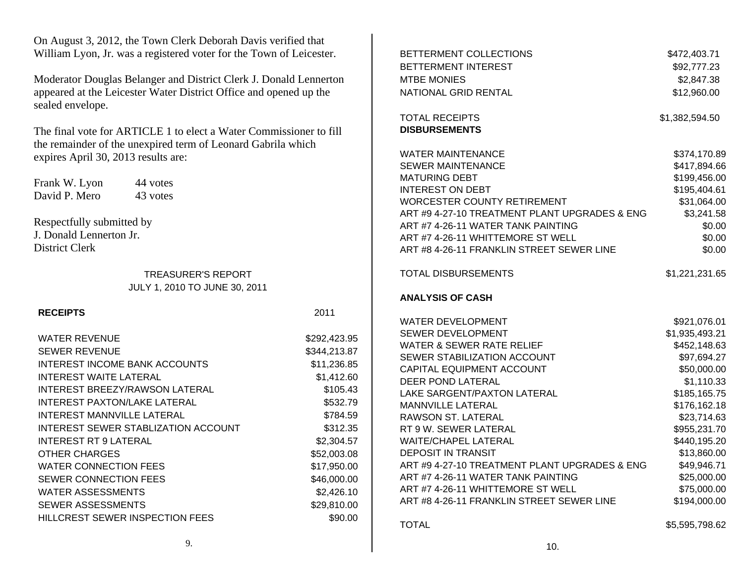| On August 3, 2012, the Town Clerk Deborah Davis verified that                         |              |                                                                     |                              |
|---------------------------------------------------------------------------------------|--------------|---------------------------------------------------------------------|------------------------------|
| William Lyon, Jr. was a registered voter for the Town of Leicester.                   |              | BETTERMENT COLLECTIONS                                              | \$472,403.71                 |
|                                                                                       |              | BETTERMENT INTEREST                                                 | \$92,777.23                  |
| Moderator Douglas Belanger and District Clerk J. Donald Lennerton                     |              | <b>MTBE MONIES</b>                                                  | \$2,847.38                   |
| appeared at the Leicester Water District Office and opened up the<br>sealed envelope. |              | NATIONAL GRID RENTAL                                                | \$12,960.00                  |
|                                                                                       |              | <b>TOTAL RECEIPTS</b>                                               | \$1,382,594.50               |
| The final vote for ARTICLE 1 to elect a Water Commissioner to fill                    |              | <b>DISBURSEMENTS</b>                                                |                              |
| the remainder of the unexpired term of Leonard Gabrila which                          |              |                                                                     |                              |
| expires April 30, 2013 results are:                                                   |              | <b>WATER MAINTENANCE</b>                                            | \$374,170.89                 |
|                                                                                       |              | <b>SEWER MAINTENANCE</b><br><b>MATURING DEBT</b>                    | \$417,894.66                 |
| Frank W. Lyon<br>44 votes                                                             |              | <b>INTEREST ON DEBT</b>                                             | \$199,456.00<br>\$195,404.61 |
| David P. Mero<br>43 votes                                                             |              | <b>WORCESTER COUNTY RETIREMENT</b>                                  | \$31,064.00                  |
|                                                                                       |              | ART #9 4-27-10 TREATMENT PLANT UPGRADES & ENG                       | \$3,241.58                   |
| Respectfully submitted by                                                             |              | ART #7 4-26-11 WATER TANK PAINTING                                  | \$0.00                       |
| J. Donald Lennerton Jr.                                                               |              | ART #7 4-26-11 WHITTEMORE ST WELL                                   | \$0.00                       |
| District Clerk                                                                        |              | ART #8 4-26-11 FRANKLIN STREET SEWER LINE                           | \$0.00                       |
|                                                                                       |              |                                                                     |                              |
| <b>TREASURER'S REPORT</b>                                                             |              | <b>TOTAL DISBURSEMENTS</b>                                          | \$1,221,231.65               |
| JULY 1, 2010 TO JUNE 30, 2011                                                         |              |                                                                     |                              |
|                                                                                       |              | <b>ANALYSIS OF CASH</b>                                             |                              |
| <b>RECEIPTS</b>                                                                       | 2011         |                                                                     |                              |
|                                                                                       |              | <b>WATER DEVELOPMENT</b>                                            | \$921,076.01                 |
| <b>WATER REVENUE</b>                                                                  | \$292,423.95 | SEWER DEVELOPMENT                                                   | \$1,935,493.21               |
| <b>SEWER REVENUE</b>                                                                  | \$344,213.87 | <b>WATER &amp; SEWER RATE RELIEF</b><br>SEWER STABILIZATION ACCOUNT | \$452,148.63                 |
| INTEREST INCOME BANK ACCOUNTS                                                         | \$11,236.85  | CAPITAL EQUIPMENT ACCOUNT                                           | \$97,694.27<br>\$50,000.00   |
| <b>INTEREST WAITE LATERAL</b>                                                         | \$1,412.60   | DEER POND LATERAL                                                   | \$1,110.33                   |
| INTEREST BREEZY/RAWSON LATERAL                                                        | \$105.43     | LAKE SARGENT/PAXTON LATERAL                                         | \$185,165.75                 |
| INTEREST PAXTON/LAKE LATERAL                                                          | \$532.79     | MANNVILLE LATERAL                                                   | \$176,162.18                 |
| INTEREST MANNVILLE LATERAL                                                            | \$784.59     | RAWSON ST. LATERAL                                                  | \$23,714.63                  |
| INTEREST SEWER STABLIZATION ACCOUNT                                                   | \$312.35     | RT 9 W. SEWER LATERAL                                               | \$955,231.70                 |
| <b>INTEREST RT 9 LATERAL</b>                                                          | \$2,304.57   | <b>WAITE/CHAPEL LATERAL</b>                                         | \$440,195.20                 |
| OTHER CHARGES                                                                         | \$52,003.08  | DEPOSIT IN TRANSIT                                                  | \$13,860.00                  |
| <b>WATER CONNECTION FEES</b>                                                          | \$17,950.00  | ART #9 4-27-10 TREATMENT PLANT UPGRADES & ENG                       | \$49,946.71                  |
| SEWER CONNECTION FEES                                                                 | \$46,000.00  | ART #7 4-26-11 WATER TANK PAINTING                                  | \$25,000.00                  |
| <b>WATER ASSESSMENTS</b>                                                              | \$2,426.10   | ART #7 4-26-11 WHITTEMORE ST WELL                                   | \$75,000.00                  |
| <b>SEWER ASSESSMENTS</b>                                                              | \$29,810.00  | ART #8 4-26-11 FRANKLIN STREET SEWER LINE                           | \$194,000.00                 |
| HILLCREST SEWER INSPECTION FEES                                                       | \$90.00      |                                                                     |                              |
|                                                                                       |              | <b>TOTAL</b>                                                        | \$5,595,798.62               |

10.